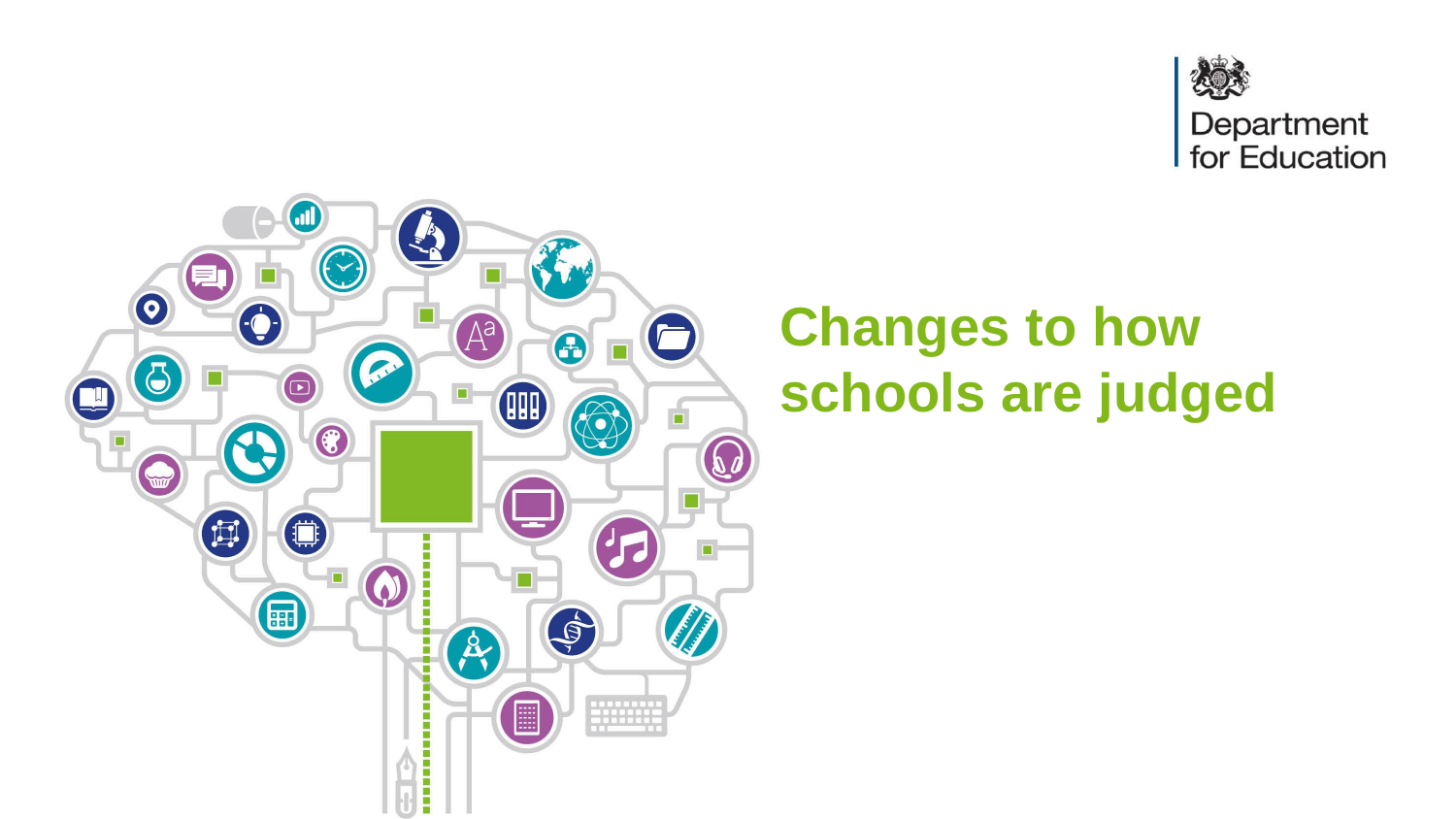



## **Changes to how schools are judged**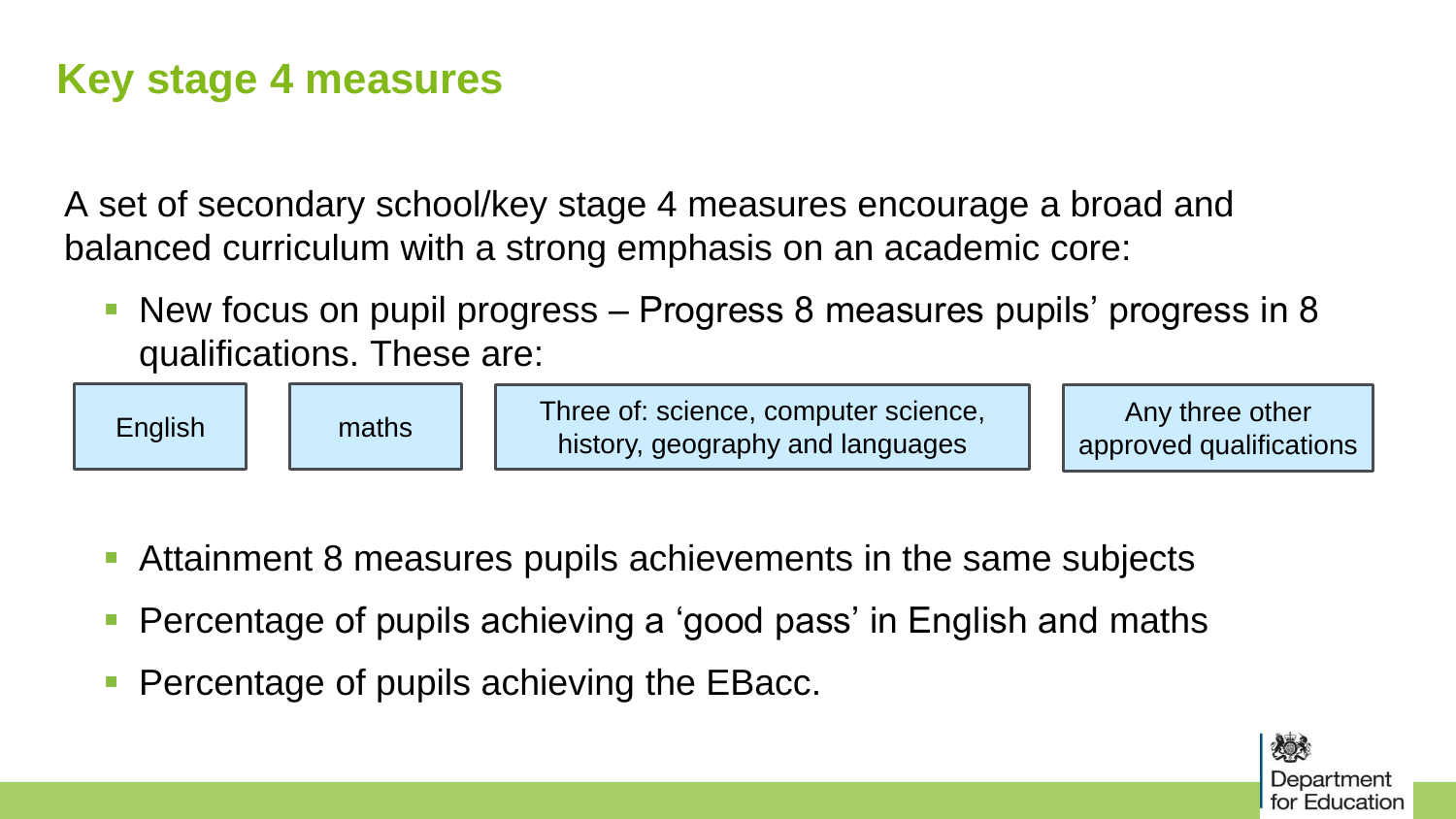## **Key stage 4 measures**

A set of secondary school/key stage 4 measures encourage a broad and balanced curriculum with a strong emphasis on an academic core:

 New focus on pupil progress – Progress 8 measures pupils' progress in 8 qualifications. These are:



- Attainment 8 measures pupils achievements in the same subjects
- Percentage of pupils achieving a 'good pass' in English and maths
- Percentage of pupils achieving the EBacc.

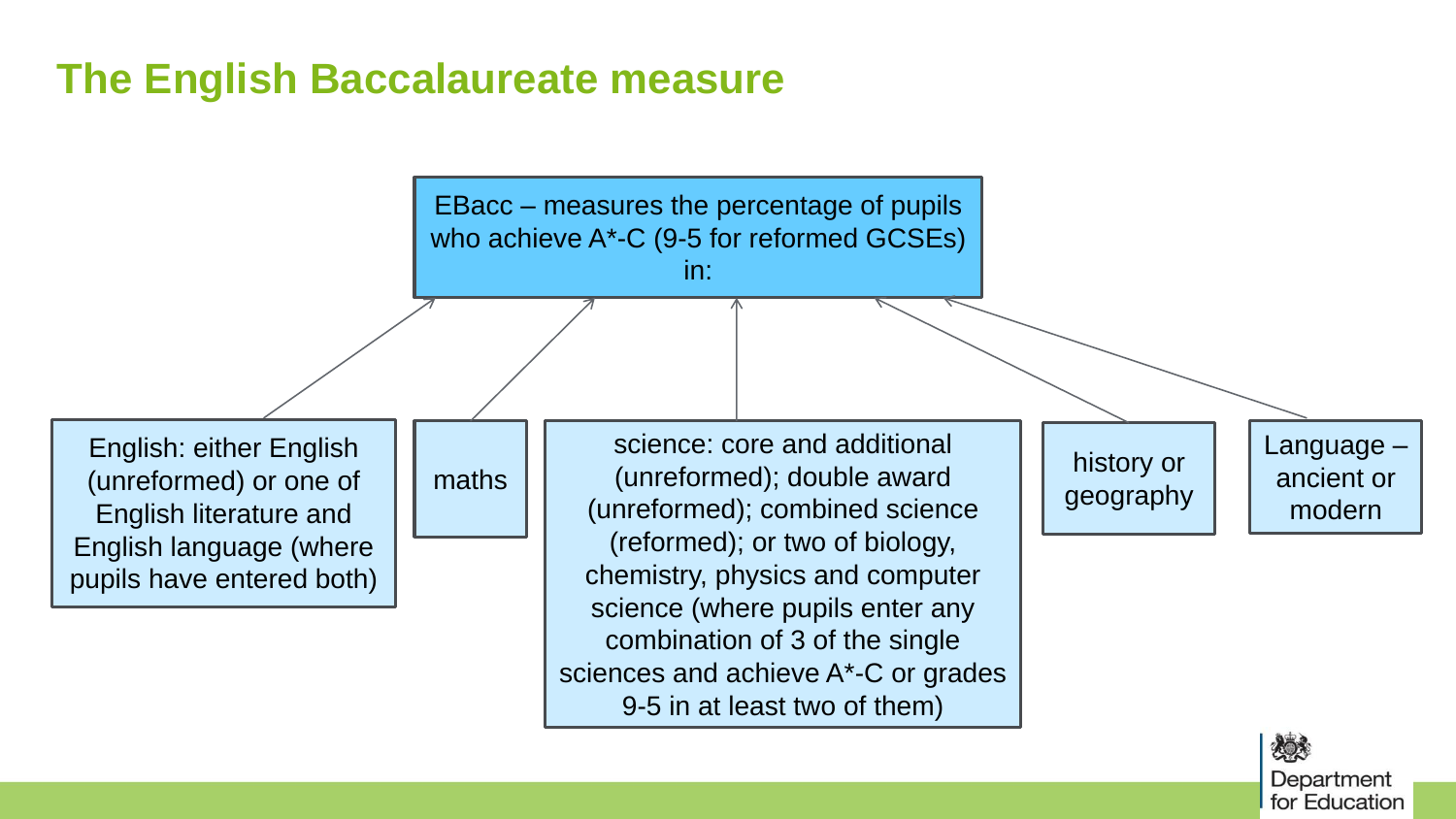## **The English Baccalaureate measure**



次のう Department for Education